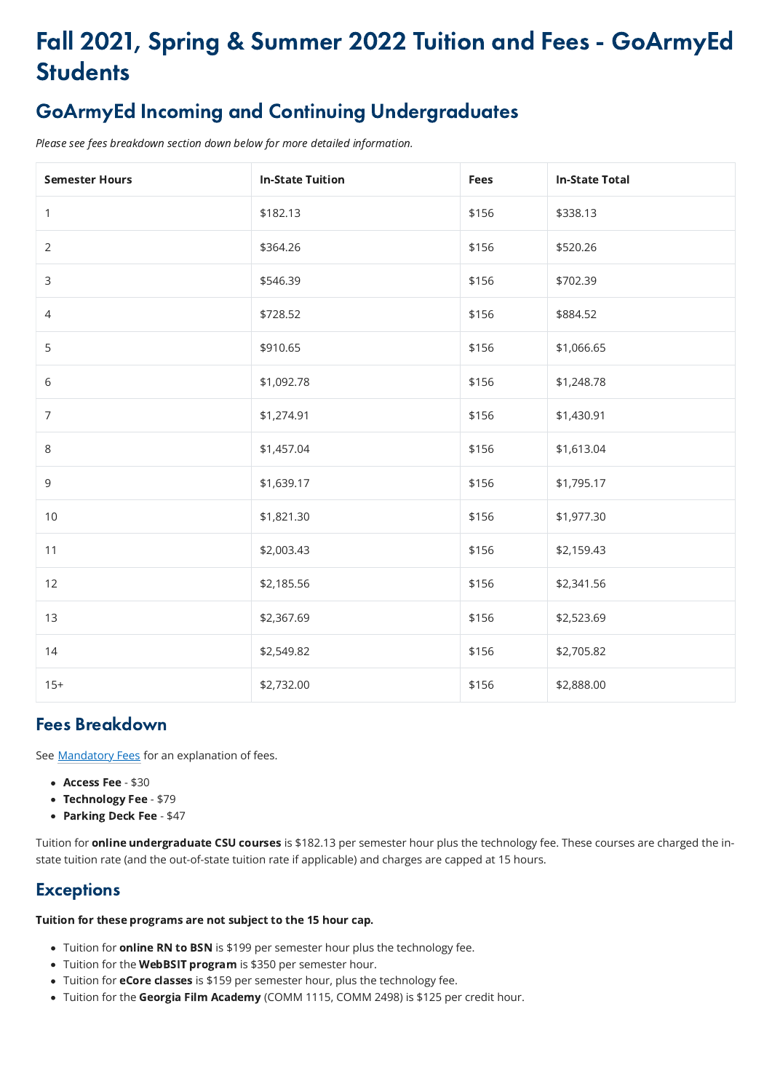# Fall 2021, Spring & Summer 2022 Tuition and Fees - GoArmyEd **Students**

# GoArmyEd Incoming and Continuing Undergraduates

Please see fees breakdown section down below for more detailed information.

| <b>Semester Hours</b> | <b>In-State Tuition</b> | <b>Fees</b> | <b>In-State Total</b> |
|-----------------------|-------------------------|-------------|-----------------------|
| $\mathbf{1}$          | \$182.13                | \$156       | \$338.13              |
| $\overline{2}$        | \$364.26                | \$156       | \$520.26              |
| 3                     | \$546.39                | \$156       | \$702.39              |
| 4                     | \$728.52                | \$156       | \$884.52              |
| 5                     | \$910.65                | \$156       | \$1,066.65            |
| 6                     | \$1,092.78              | \$156       | \$1,248.78            |
| $\overline{7}$        | \$1,274.91              | \$156       | \$1,430.91            |
| 8                     | \$1,457.04              | \$156       | \$1,613.04            |
| $\mathsf 9$           | \$1,639.17              | \$156       | \$1,795.17            |
| 10                    | \$1,821.30              | \$156       | \$1,977.30            |
| 11                    | \$2,003.43              | \$156       | \$2,159.43            |
| 12                    | \$2,185.56              | \$156       | \$2,341.56            |
| 13                    | \$2,367.69              | \$156       | \$2,523.69            |
| 14                    | \$2,549.82              | \$156       | \$2,705.82            |
| $15+$                 | \$2,732.00              | \$156       | \$2,888.00            |

Tuition for **online undergraduate CSU courses** is \$182.13 per semester hour plus the technology fee. These courses are charged the instate tuition rate (and the out-of-state tuition rate if applicable) and charges are capped at 15 hours.

## **Exceptions**

## Fees Breakdown

See **Mandatory Fees** for an explanation of fees.

- Access Fee \$30
- Technology Fee \$79
- Parking Deck Fee \$47

Tuition for these programs are not subject to the 15 hour cap.

- Tuition for **online RN to BSN** is \$199 per semester hour plus the technology fee.
- Tuition for the WebBSIT program is \$350 per semester hour.
- Tuition for **eCore classes** is \$159 per semester hour, plus the technology fee.
- Tuition for the Georgia Film Academy (COMM 1115, COMM 2498) is \$125 per credit hour.